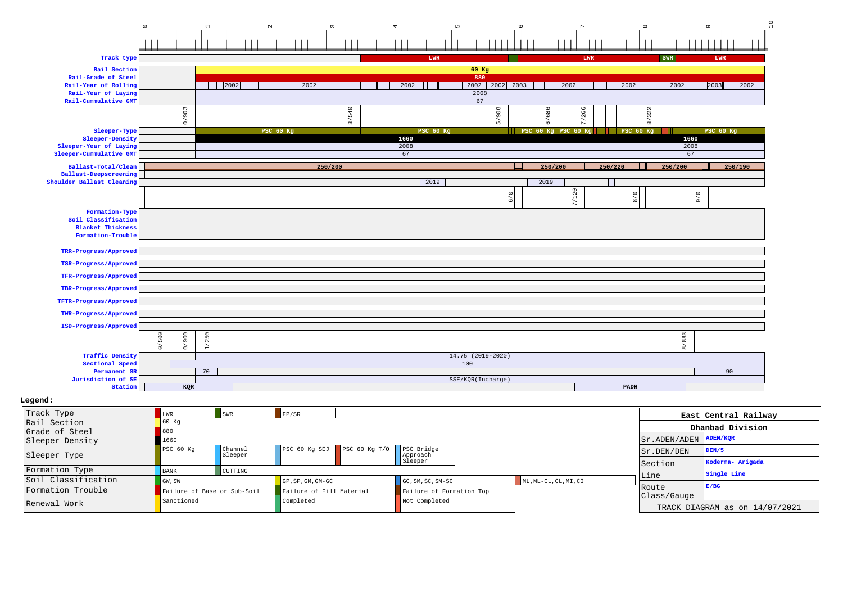## 0123456789 10

| Track type                |                 |                      |                  |               | LWR              |                     |                |                     | LWR                                      |         |                  | SWR       | LWR                                   |         |
|---------------------------|-----------------|----------------------|------------------|---------------|------------------|---------------------|----------------|---------------------|------------------------------------------|---------|------------------|-----------|---------------------------------------|---------|
| Rail Section              |                 |                      |                  |               |                  | $60$ Kg             |                |                     |                                          |         |                  |           |                                       |         |
| Rail-Grade of Steel       |                 |                      |                  |               |                  | 880                 |                |                     |                                          |         |                  |           |                                       |         |
| Rail-Year of Rolling      |                 | 2002                 |                  | 2002          | 2002             |                     | 2002 2002 2003 |                     | 2002                                     |         |                  | 2002      | 2003                                  | 2002    |
| Rail-Year of Laying       |                 |                      |                  |               |                  | 2008                |                |                     |                                          |         |                  |           |                                       |         |
| Rail-Cummulative GMT      |                 |                      |                  |               |                  | 67                  |                |                     |                                          |         |                  |           |                                       |         |
|                           |                 |                      |                  | 540           |                  |                     |                | 6/686               | 266                                      |         | 322              |           |                                       |         |
|                           | 0/903           |                      |                  | $\frac{1}{2}$ |                  |                     | 5/908          |                     | $\sim$                                   |         | ╮<br>$\infty$    |           |                                       |         |
| Sleeper-Type              |                 |                      | <b>PSC 60 Kg</b> |               | <b>PSC 60 Kg</b> |                     |                | PSC 60 Kg PSC 60 Kg |                                          |         | <b>PSC 60 Kg</b> |           | PSC 60 Kg                             |         |
| Sleeper-Density           |                 |                      |                  |               | 1660             |                     |                |                     |                                          |         |                  | 1660      |                                       |         |
| Sleeper-Year of Laying    |                 |                      |                  |               | 2008             |                     |                |                     |                                          |         |                  | 2008      |                                       |         |
| Sleeper-Cummulative GMT   |                 |                      |                  |               | 67               |                     |                |                     |                                          |         |                  | 67        |                                       |         |
| Ballast-Total/Clean       |                 |                      |                  | 250/200       |                  |                     |                | 250/200             |                                          | 250/220 |                  | 250/200   |                                       | 250/190 |
| Ballast-Deepscreening     |                 |                      |                  |               |                  |                     |                |                     |                                          |         |                  |           |                                       |         |
| Shoulder Ballast Cleaning |                 |                      |                  |               | 2019             |                     |                | 2019                |                                          |         |                  |           |                                       |         |
|                           |                 |                      |                  |               |                  |                     |                |                     | 120                                      |         |                  |           | $\stackrel{\circ}{\phantom{}_{\sim}}$ |         |
|                           |                 |                      |                  |               |                  |                     | 6/0            |                     | $\overline{\phantom{a}}$<br>$\mathbf{r}$ |         | 8/0              |           | $\sigma$                              |         |
| Formation-Type            |                 |                      |                  |               |                  |                     |                |                     |                                          |         |                  |           |                                       |         |
| Soil Classification       |                 |                      |                  |               |                  |                     |                |                     |                                          |         |                  |           |                                       |         |
| <b>Blanket Thickness</b>  |                 |                      |                  |               |                  |                     |                |                     |                                          |         |                  |           |                                       |         |
| Formation-Trouble         |                 |                      |                  |               |                  |                     |                |                     |                                          |         |                  |           |                                       |         |
| TRR-Progress/Approved     |                 |                      |                  |               |                  |                     |                |                     |                                          |         |                  |           |                                       |         |
| TSR-Progress/Approved     |                 |                      |                  |               |                  |                     |                |                     |                                          |         |                  |           |                                       |         |
| TFR-Progress/Approved     |                 |                      |                  |               |                  |                     |                |                     |                                          |         |                  |           |                                       |         |
| TBR-Progress/Approved     |                 |                      |                  |               |                  |                     |                |                     |                                          |         |                  |           |                                       |         |
| TFTR-Progress/Approved    |                 |                      |                  |               |                  |                     |                |                     |                                          |         |                  |           |                                       |         |
| TWR-Progress/Approved     |                 |                      |                  |               |                  |                     |                |                     |                                          |         |                  |           |                                       |         |
| ISD-Progress/Approved     |                 |                      |                  |               |                  |                     |                |                     |                                          |         |                  |           |                                       |         |
|                           | 500             | 250                  |                  |               |                  |                     |                |                     |                                          |         |                  | 883       |                                       |         |
|                           | 0/900<br>$\geq$ | $\overrightarrow{H}$ |                  |               |                  |                     |                |                     |                                          |         |                  | $\approx$ |                                       |         |
| <b>Traffic Density</b>    |                 |                      |                  |               |                  | $14.75$ (2019-2020) |                |                     |                                          |         |                  |           |                                       |         |
| Sectional Speed           |                 |                      |                  |               |                  | 100                 |                |                     |                                          |         |                  |           |                                       |         |
| Permanent SR              |                 | 70                   |                  |               |                  |                     |                |                     |                                          |         |                  |           | 90                                    |         |
| Jurisdiction of SE        |                 |                      |                  |               |                  | SSE/KQR(Incharge)   |                |                     |                                          |         |                  |           |                                       |         |
| Station                   | KQR             |                      |                  |               |                  |                     |                |                     |                                          |         | PADH             |           |                                       |         |

| Track Type          | LWR                         | SWR                       | FP/SR                    |                   |                          |                       |                                  | East Central Railway           |
|---------------------|-----------------------------|---------------------------|--------------------------|-------------------|--------------------------|-----------------------|----------------------------------|--------------------------------|
| Rail Section        | 60 Kq                       |                           |                          |                   |                          |                       |                                  | Dhanbad Division               |
| Grade of Steel      | 880                         |                           |                          |                   |                          |                       |                                  |                                |
| Sleeper Density     | 1660                        |                           |                          |                   |                          |                       | $  $ Sr. ADEN/ADEN $  $ ADEN/KOR |                                |
| Sleeper Type        | PSC 60 Kg                   | <b>Channel</b><br>Sleeper | PSC 60 Kg SEJ            | PSC $60$ Kq $T/0$ | PSC Bridge<br>Approach   |                       | $  $ Sr. DEN/DEN                 | DEN/5                          |
|                     |                             |                           |                          |                   | Sleeper                  |                       | <b>Section</b>                   | Koderma- Arigada               |
| Formation Type      | <b>BANK</b>                 | CUTTING                   |                          |                   |                          |                       |                                  | Single Line                    |
| Soil Classification | GW, SW                      |                           | GP, SP, GM, GM-GC        |                   | $GC, SM, SC, SM-SC$      | ML, ML-CL, CL, MI, CI | Line                             |                                |
| Formation Trouble   | Failure of Base or Sub-Soil |                           | Failure of Fill Material |                   | Failure of Formation Top |                       | Route                            | E/BG                           |
| Renewal Work        | Sanctioned                  |                           | Completed                |                   | Not Completed            |                       | Class/Gauge                      |                                |
|                     |                             |                           |                          |                   |                          |                       |                                  | TRACK DIAGRAM as on 14/07/2021 |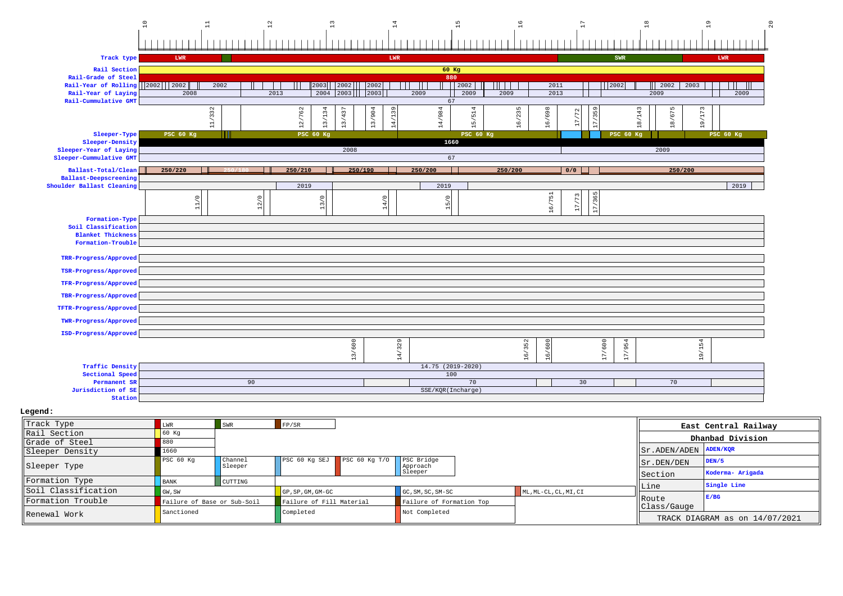

| Track Type          | LWR                         | SWR                       | FP/SR                    |                                      |                          |                       |                         | East Central Railway           |
|---------------------|-----------------------------|---------------------------|--------------------------|--------------------------------------|--------------------------|-----------------------|-------------------------|--------------------------------|
| Rail Section        | $60$ Kg                     |                           |                          |                                      |                          |                       |                         | Dhanbad Division               |
| Grade of Steel      | 880                         |                           |                          |                                      |                          |                       |                         |                                |
| Sleeper Density     | 1660                        |                           |                          |                                      |                          |                       | Sr.ADEN/ADEN            | ADEN/KOR                       |
| Sleeper Type        | PSC 60 Kq                   | <b>Channel</b><br>Sleeper |                          | $\sqrt{PSC}$ 60 Kg SEJ PSC 60 Kg T/O | PSC Bridge<br>Approach   |                       | $\parallel$ Sr. DEN/DEN | DEN/5                          |
|                     |                             |                           |                          |                                      | Sleeper                  |                       | Section                 | Koderma- Arigada               |
| Formation Type      | BANK                        | CUTTING                   |                          |                                      |                          |                       | Line                    | Single Line                    |
| Soil Classification | GW, SW                      |                           | GP, SP, GM, GM-GC        |                                      | $GC, SM, SC, SM-SC$      | ML, ML-CL, CL, MI, CI |                         |                                |
| Formation Trouble   | Failure of Base or Sub-Soil |                           | Failure of Fill Material |                                      | Failure of Formation Top |                       | Route                   | E/BC                           |
| IRenewal Work       | Sanctioned                  |                           | Completed                |                                      | Not Completed            |                       | Class/Gauge             |                                |
|                     |                             |                           |                          |                                      |                          |                       |                         | TRACK DIAGRAM as on 14/07/2021 |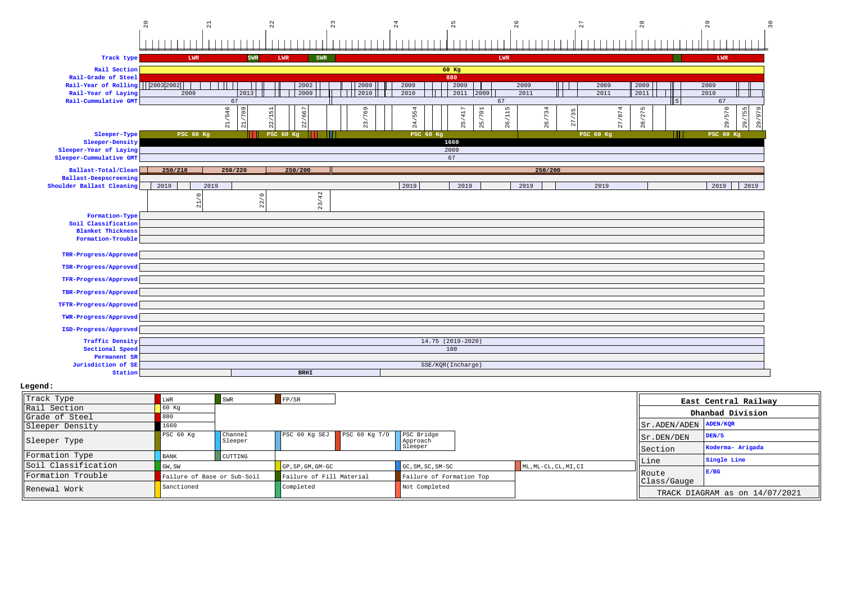

| Track Type          | ⊥WR                         | SWR                | FP/SR                           |                          |                       |                                  | East Central Railway           |
|---------------------|-----------------------------|--------------------|---------------------------------|--------------------------|-----------------------|----------------------------------|--------------------------------|
| Rail Section        |                             |                    |                                 |                          |                       |                                  |                                |
| Grade of Steel      |                             |                    |                                 |                          |                       |                                  | Dhanbad Division               |
| Sleeper Density     | 1.660                       |                    |                                 |                          |                       | $  $ Sr. ADEN/ADEN $  $ ADEN/KQR |                                |
| Sleeper Type        | PSC <sub>60 Kq</sub>        | Channel<br>Sleeper | PSC 60 Kg SEJ PSC 60 Kg T/O     | PSC Bridge<br>Approach   |                       | $  $ Sr. DEN/DEN                 | DEN/5                          |
|                     |                             |                    |                                 | Sleeper                  |                       | Section                          | Koderma- Arigada               |
| Formation Type      | <b>BANK</b>                 | CUTTING            |                                 |                          |                       |                                  | Single Line                    |
| Soil Classification | GW, SW                      |                    | $\overline{GP}$ , SP, GM, GM-GC | GC, SM, SC, SM-SC        | ML, ML-CL, CL, MI, CI | Line                             |                                |
| Formation Trouble   | Failure of Base or Sub-Soil |                    | Failure of Fill Material        | Failure of Formation Top |                       | <b>IRoute</b><br>Class/Gauge     | E/BG                           |
| Renewal Work        | Sanctioned                  |                    | Completed                       | Not Completed            |                       |                                  | TRACK DIAGRAM as on 14/07/2021 |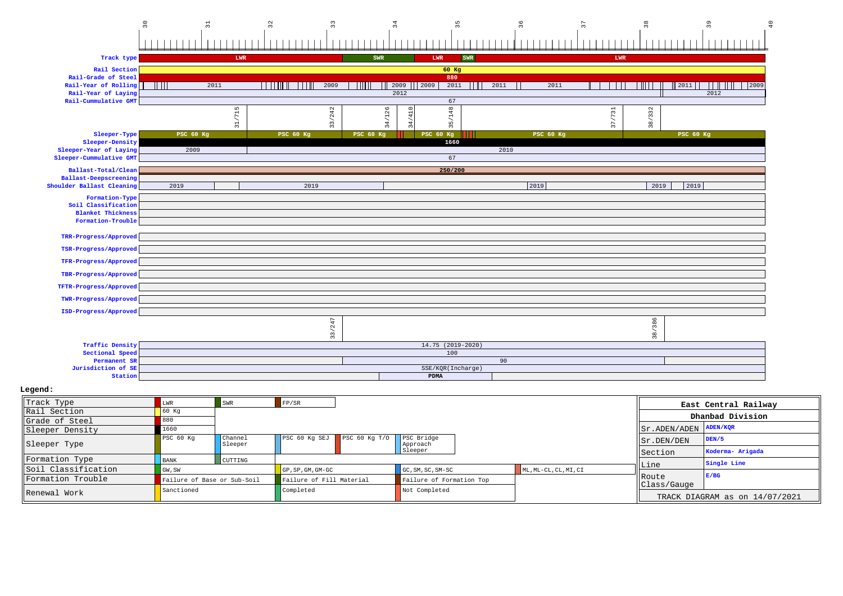

| Track Type          | LWR         | SWR                         | $F$ $P/SR$                             |                          |                       |                                                       | East Central Railway           |
|---------------------|-------------|-----------------------------|----------------------------------------|--------------------------|-----------------------|-------------------------------------------------------|--------------------------------|
| Rail Section        | 60 Kq       |                             |                                        |                          |                       |                                                       | Dhanbad Division               |
| Grade of Steel      | 880         |                             |                                        |                          |                       |                                                       |                                |
| Sleeper Density     | 1660        |                             |                                        |                          |                       | $ \text{Sr.ADEN}/\text{ADEN} \text{ADEN}/\text{KQR} $ |                                |
| Sleeper Type        | PSC 60 Kg   | Channel<br>Sleeper          | PSC 60 Kg SEJ PSC 60 Kg T/O PSC Bridge | Approach                 |                       | Sr.DEN/DEN                                            | DEN/5                          |
|                     |             |                             |                                        | Sleeper                  |                       | Section                                               | Koderma- Arigada               |
| Formation Type      | <b>BANK</b> | CUTTING                     |                                        |                          |                       |                                                       | Single Line                    |
| Soil Classification | GW, SW      |                             | $GP$ , $SP$ , $GM$ , $GM$ - $GC$       | GC, SM, SC, SM-SC        | ML, ML-CL, CL, MI, CI | Line                                                  |                                |
| Formation Trouble   |             | Failure of Base or Sub-Soil | Failure of Fill Material               | Failure of Formation Top |                       | Route<br>Class/Gauge                                  | E/BG                           |
| Renewal Work        | Sanctioned  |                             | Completed                              | Not Completed            |                       |                                                       |                                |
|                     |             |                             |                                        |                          |                       |                                                       | TRACK DIAGRAM as on 14/07/2021 |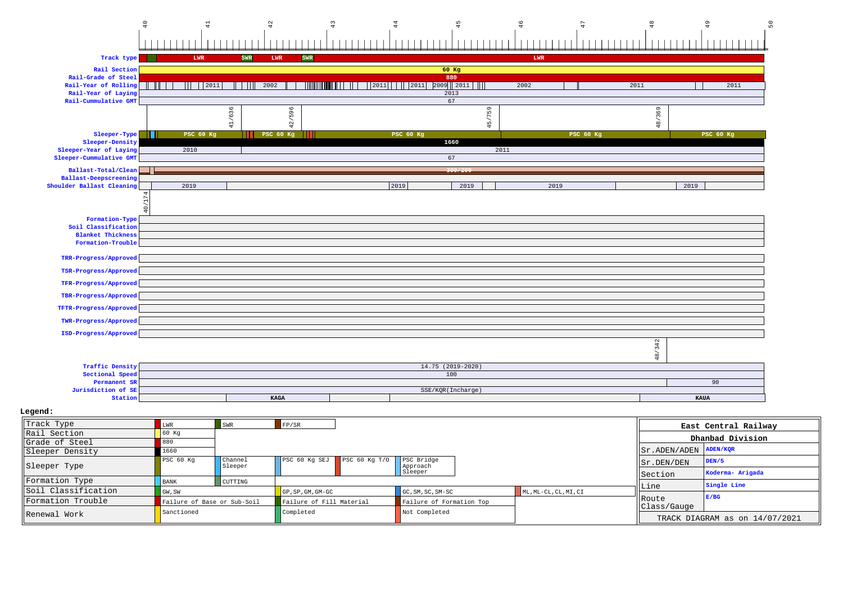

| Sleeper Type         | IIPSC 60 KG                 | I Channel<br>Sleeper |                          | $ PSC 60 Kg SEJ $ PSC 60 Kg T/O   PSC Bridge | Approach                 |                                      | Sr.DEN/DEN     | IDEN/5                     |
|----------------------|-----------------------------|----------------------|--------------------------|----------------------------------------------|--------------------------|--------------------------------------|----------------|----------------------------|
|                      |                             |                      |                          |                                              | Sleeper                  |                                      | <b>Section</b> | Koderma- Arigada           |
| Formation Type       | <b>BANK</b>                 | <b>CUTTING</b>       |                          |                                              |                          |                                      | llLine         | Single Line                |
| lsoil Classification | GW.SW                       |                      | $GP$ , SP, GM, GM-GC     |                                              | $GC, SM, SC, SM-SC$      | $\blacksquare$ ML, ML-CL, CL, MI, CI |                |                            |
| Formation Trouble    | Failure of Base or Sub-Soil |                      | Failure of Fill Material |                                              | Failure of Formation Top |                                      | Route          | E/BG                       |
|                      | Sanctioned                  |                      | Completed                |                                              | Not Completed            |                                      | lclass/Gauge   |                            |
| Renewal Work         |                             |                      |                          |                                              |                          |                                      |                | TRACK DIAGRAM as on 14/07/ |

TRACK DIAGRAM as on 14/07/2021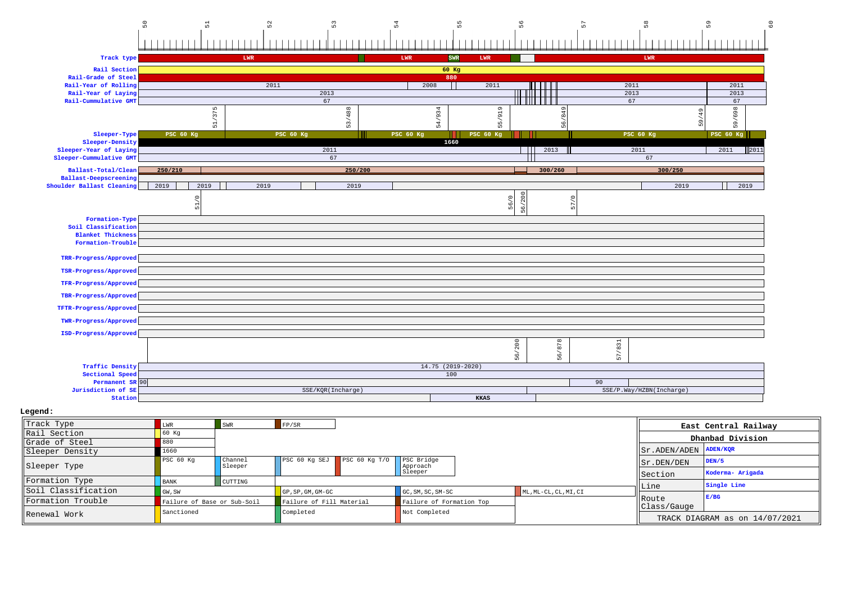

| Track Type          | LWR                         | SWR                | FP/SR                            |                             |                          |                       |                        | East Central Railway           |
|---------------------|-----------------------------|--------------------|----------------------------------|-----------------------------|--------------------------|-----------------------|------------------------|--------------------------------|
| Rail Section        | 60 Kg                       |                    |                                  |                             |                          |                       |                        | Dhanbad Division               |
| Grade of Steel      |                             |                    |                                  |                             |                          |                       |                        |                                |
| Sleeper Density     | 1660                        |                    |                                  |                             |                          |                       | Sr. ADEN/ADEN ADEN/KOR |                                |
| Sleeper Type        | PSC 60 Kg                   | Channel<br>Sleeper |                                  | PSC 60 Kg SEJ PSC 60 Kg T/O | PSC Bridge<br>Approach   |                       | $  $ Sr.DEN/DEN        | DEN/5                          |
|                     |                             |                    |                                  |                             | Sleeper                  |                       | Section                | Koderma- Arigada               |
| Formation Type      | <b>BANK</b>                 | CUTTING            |                                  |                             |                          |                       |                        | Single Line                    |
| Soil Classification | GW, SW                      |                    | $GP$ , $SP$ , $GM$ , $GM$ - $GC$ |                             | GC, SM, SC, SM-SC        | ML, ML-CL, CL, MI, CI | Line                   |                                |
| Formation Trouble   | Failure of Base or Sub-Soil |                    | Failure of Fill Material         |                             | Failure of Formation Top |                       | Route                  | E/BG                           |
| Renewal Work        | Sanctioned                  |                    | Completed                        |                             | Not Completed            |                       | Class/Gauge            | TRACK DIAGRAM as on 14/07/2021 |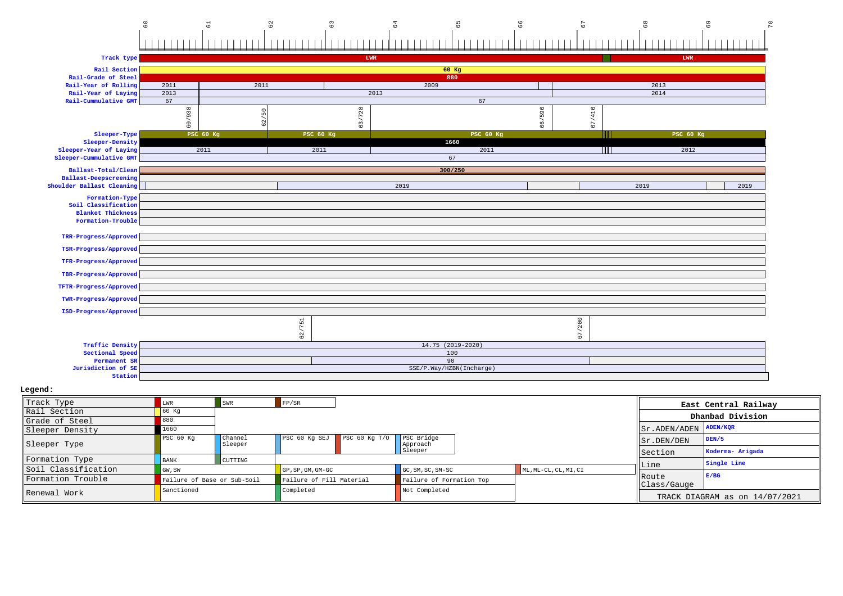

**Station**

 **Legend:** Track Typee Entertainment of the same state of the swart of the swart of the swart of the swart of the swart of the swart of the swart of the swart of the swart of the swart of the swart of the swart of the swart of the swart of the Rail Section<u>n</u> 60 kg Grade of Steel 1 880 Sleeper Densityy 1660 Sleeper TypePSC 60 Kg Channel SleeperPSC 60 Kg SEJPSC 60 Kg T/O PSC Bridge Approach SleeperFormation Typee BANK CUTTING Soil ClassificationGU,SW GP,SP,GM,GM-GC GC,SM,SC,SM-SC ML,ML-CL,CL,MI,CI Formation TroubleFailure of Base or Sub-Soil Failure of Fill Material Failure of Formation Top<br>Sanctioned Completed Not Completed Renewal Workk entitled completed Not Completed Not Completed  $\blacksquare$ **East Central RailwayDhanbad Division**Sr.ADEN/ADEN **ADEN/KQR** Sr.DEN/DEN **DEN/5** Section **Koderma- Arigada** Line **Single Line** Route Class/Gauge TRACK DIAGRAM as on 14/07/2021**E/BG**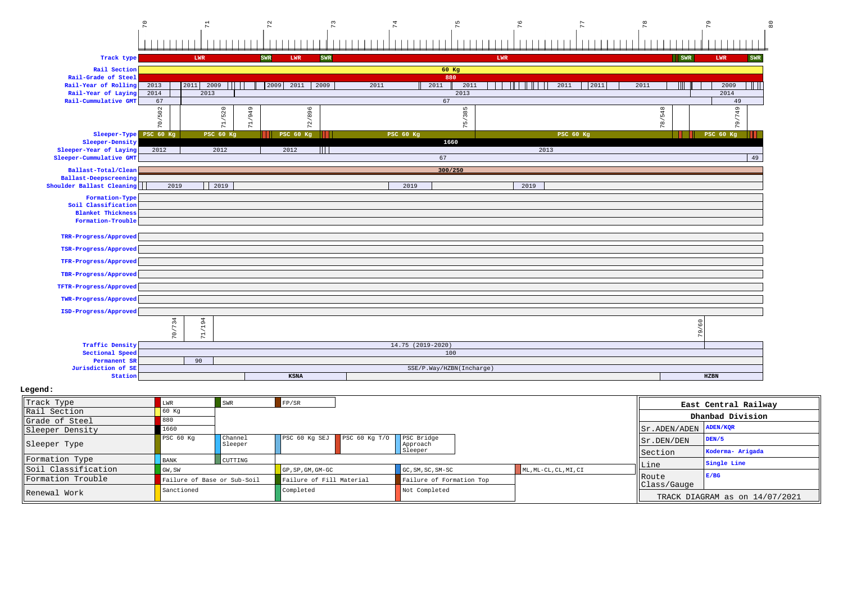

| Track Type          | .WR         | <b>SWR</b>                  | FP/SR                            |                               |                          |                       |      |                       | East Central Railway           |
|---------------------|-------------|-----------------------------|----------------------------------|-------------------------------|--------------------------|-----------------------|------|-----------------------|--------------------------------|
| Rail Section        | 60 Kq       |                             |                                  |                               |                          |                       |      |                       | Dhanbad Division               |
| Grade of Steel      | 880         |                             |                                  |                               |                          |                       |      |                       |                                |
| Sleeper Density     | 1660        |                             |                                  |                               |                          |                       |      | Sr.ADEN/ADEN ADEN/KOR |                                |
| Sleeper Type        | PSC 60 Kg   | Channel<br>Sleeper          |                                  | $PSC$ 60 Kg SEJ PSC 60 Kg T/O | PSC Bridge<br>Approach   |                       |      | Sr.DEN/DEN            | DEN/5                          |
|                     |             |                             |                                  |                               | Sleeper                  |                       |      | Section               | Koderma- Arigada               |
| Formation Type      | <b>BANK</b> | CUTTING                     |                                  |                               |                          |                       |      |                       | Single Line                    |
| Soil Classification | GW, SW      |                             | $GP$ , $SP$ , $GM$ , $GM$ - $GC$ |                               | GC, SM, SC, SM-SC        | ML, ML-CL, CL, MI, CI | Line |                       |                                |
| Formation Trouble   |             | Failure of Base or Sub-Soil | Failure of Fill Material         |                               | Failure of Formation Top |                       |      | <b>IRoute</b>         | E/BG                           |
|                     | Sanctioned  |                             | Completed                        |                               | Not Completed            |                       |      | Class/Gauge           |                                |
| Renewal Work        |             |                             |                                  |                               |                          |                       |      |                       | TRACK DIAGRAM as on 14/07/2021 |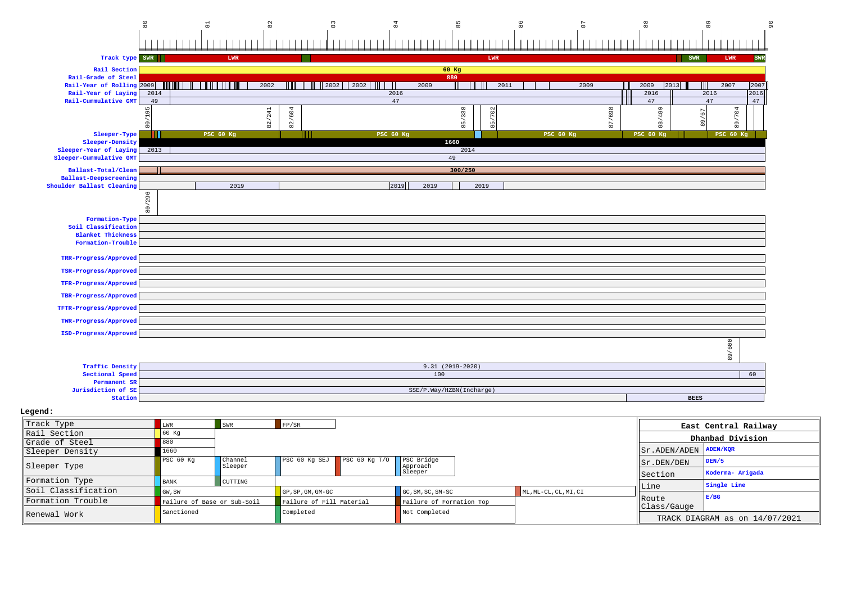

| Track Type          | LWR         | <b>SWR</b>                  | FP/SR                            |                             |                          |                       |                       | East Central Railway           |
|---------------------|-------------|-----------------------------|----------------------------------|-----------------------------|--------------------------|-----------------------|-----------------------|--------------------------------|
| Rail Section        |             |                             |                                  |                             |                          |                       |                       | Dhanbad Division               |
| Grade of Steel      | 880         |                             |                                  |                             |                          |                       |                       |                                |
| Sleeper Density     | 1660        |                             |                                  |                             |                          |                       | Sr.ADEN/ADEN ADEN/KOR |                                |
| Sleeper Type        | PSC 60 Kg   | <b>Channel</b><br>Sleeper   |                                  | PSC 60 Kg SEJ PSC 60 Kg T/O | PSC Bridge<br>Approach   |                       | Sr.DEN/DEN            | DEN/5                          |
|                     |             |                             |                                  |                             | Sleeper                  |                       | Section               | Koderma- Arigada               |
| Formation Type      | <b>BANK</b> | CUTTING                     |                                  |                             |                          |                       |                       | Single Line                    |
| Soil Classification | GW, SW      |                             | $GP$ , $SP$ , $GM$ , $GM$ - $GC$ |                             | GC, SM, SC, SM-SC        | ML, ML-CL, CL, MI, CI | Line                  |                                |
| Formation Trouble   |             | Failure of Base or Sub-Soil | Failure of Fill Material         |                             | Failure of Formation Top |                       | <b>IRoute</b>         | E/BG                           |
| Renewal Work        | Sanctioned  |                             | Completed                        |                             | Not Completed            |                       | Class/Gauge           |                                |
|                     |             |                             |                                  |                             |                          |                       |                       | TRACK DIAGRAM as on 14/07/2021 |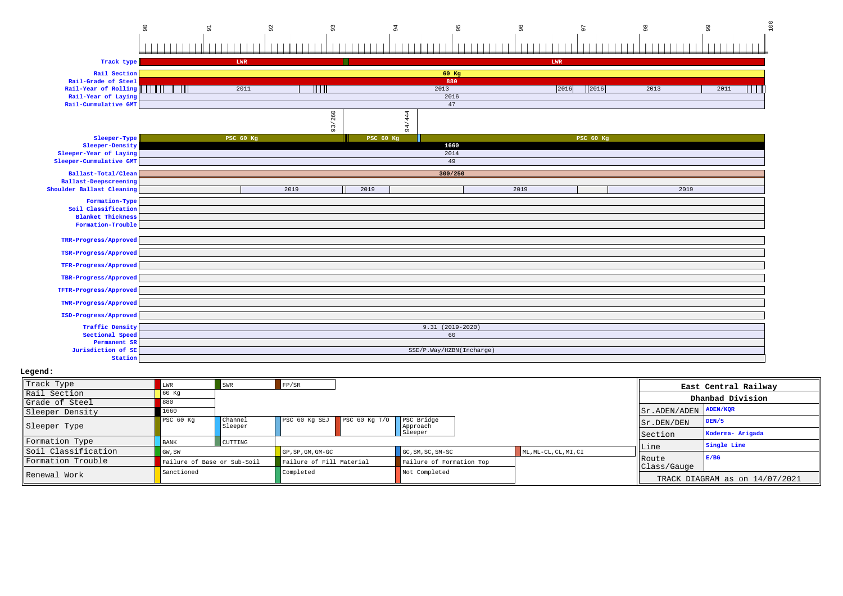# אס<br>פריס האישי האישי האישי האישי האישי האישי האישי האישי האישי האישי האישי האישי האישי האישי האישי האישי האישי הי<br>פריס האישי האישי האישי האישי האישי האישי האישי האישי האישי האישי האישי האישי האישי האישי האישי האישי האישי ה

| Track type                   |       | ${\tt LWR}$      |      |                                     |                  |               |                          | LWR  |                  |      |      |      |     |
|------------------------------|-------|------------------|------|-------------------------------------|------------------|---------------|--------------------------|------|------------------|------|------|------|-----|
| Rail Section                 |       |                  |      |                                     |                  |               | 60 Kg                    |      |                  |      |      |      |     |
| Rail-Grade of Steel          |       |                  |      |                                     |                  |               | 880                      |      |                  |      |      |      |     |
| Rail-Year of Rolling         | - 111 | 2011             |      | $\overline{\mathbb{H}\,\mathbb{H}}$ |                  |               | 2013                     | 2016 |                  | 2013 |      | 2011 | W I |
| Rail-Year of Laying          |       |                  |      |                                     |                  |               | 2016                     |      |                  |      |      |      |     |
| Rail-Cummulative GMT         |       |                  |      |                                     |                  |               | 47                       |      |                  |      |      |      |     |
|                              |       |                  |      | 260                                 |                  | 444           |                          |      |                  |      |      |      |     |
|                              |       |                  |      | 93/                                 |                  | 4<br>$\sigma$ |                          |      |                  |      |      |      |     |
| Sleeper-Type                 |       | <b>PSC 60 Kg</b> |      |                                     | <b>PSC 60 Kg</b> |               |                          |      | <b>PSC 60 Kg</b> |      |      |      |     |
| Sleeper-Density              |       |                  |      |                                     |                  |               | 1660                     |      |                  |      |      |      |     |
| Sleeper-Year of Laying       |       |                  |      |                                     |                  |               | 2014                     |      |                  |      |      |      |     |
| Sleeper-Cummulative GMT      |       |                  |      |                                     |                  |               | 49                       |      |                  |      |      |      |     |
| Ballast-Total/Clean          |       |                  |      |                                     |                  |               | 300/250                  |      |                  |      |      |      |     |
| <b>Ballast-Deepscreening</b> |       |                  |      |                                     |                  |               |                          |      |                  |      |      |      |     |
| Shoulder Ballast Cleaning    |       |                  | 2019 |                                     | 2019             |               |                          | 2019 |                  |      | 2019 |      |     |
| Formation-Type               |       |                  |      |                                     |                  |               |                          |      |                  |      |      |      |     |
| Soil Classification          |       |                  |      |                                     |                  |               |                          |      |                  |      |      |      |     |
| <b>Blanket Thickness</b>     |       |                  |      |                                     |                  |               |                          |      |                  |      |      |      |     |
| Formation-Trouble            |       |                  |      |                                     |                  |               |                          |      |                  |      |      |      |     |
| TRR-Progress/Approved        |       |                  |      |                                     |                  |               |                          |      |                  |      |      |      |     |
|                              |       |                  |      |                                     |                  |               |                          |      |                  |      |      |      |     |
| TSR-Progress/Approved        |       |                  |      |                                     |                  |               |                          |      |                  |      |      |      |     |
| TFR-Progress/Approved        |       |                  |      |                                     |                  |               |                          |      |                  |      |      |      |     |
| TBR-Progress/Approved        |       |                  |      |                                     |                  |               |                          |      |                  |      |      |      |     |
| TFTR-Progress/Approved       |       |                  |      |                                     |                  |               |                          |      |                  |      |      |      |     |
| TWR-Progress/Approved        |       |                  |      |                                     |                  |               |                          |      |                  |      |      |      |     |
| ISD-Progress/Approved        |       |                  |      |                                     |                  |               |                          |      |                  |      |      |      |     |
| <b>Traffic Density</b>       |       |                  |      |                                     |                  |               | $9.31(2019-2020)$        |      |                  |      |      |      |     |
| Sectional Speed              |       |                  |      |                                     |                  |               | 60                       |      |                  |      |      |      |     |
| Permanent SR                 |       |                  |      |                                     |                  |               |                          |      |                  |      |      |      |     |
| Jurisdiction of SE           |       |                  |      |                                     |                  |               | SSE/P.Way/HZBN(Incharge) |      |                  |      |      |      |     |
| Station                      |       |                  |      |                                     |                  |               |                          |      |                  |      |      |      |     |

| Track Type          | ∩WR.                        | SWR                       | FP/SR                           |                   |                          |                       |                                 | East Central Railway           |
|---------------------|-----------------------------|---------------------------|---------------------------------|-------------------|--------------------------|-----------------------|---------------------------------|--------------------------------|
| Rail Section        | 60 Kq                       |                           |                                 |                   |                          |                       |                                 | Dhanbad Division               |
| Grade of Steel      |                             |                           |                                 |                   |                          |                       |                                 |                                |
| Sleeper Density     | 1660                        |                           |                                 |                   |                          |                       | $ Sr $ . ADEN/ADEN $ $ ADEN/KQR |                                |
| Sleeper Type        | PSC 60 Kg                   | <b>Channel</b><br>Sleeper | PSC 60 Kg SEJ                   | PSC $60$ Kq $T/O$ | PSC Bridge<br>Approach   |                       | $\vert$ Sr. DEN/DEN             | DEN/5                          |
|                     |                             |                           |                                 |                   | Sleeper                  |                       | Section                         | Koderma- Arigada               |
| Formation Type      | <b>BANK</b>                 | CUTTING                   |                                 |                   |                          |                       |                                 | Single Line                    |
| Soil Classification | GW, SW                      |                           | $GP$ , $SP$ , $GM$ , $GM$ $-GC$ |                   | $GC, SM, SC, SM-SC$      | ML, ML-CL, CL, MI, CI | Line                            |                                |
| Formation Trouble   | Failure of Base or Sub-Soil |                           | Failure of Fill Material        |                   | Failure of Formation Top |                       | <b>IRoute</b><br>Class/Gauge    | E/BG                           |
| Renewal Work        | Sanctioned                  |                           | Completed                       |                   | Not Completed            |                       |                                 | TRACK DIAGRAM as on 14/07/2021 |
|                     |                             |                           |                                 |                   |                          |                       |                                 |                                |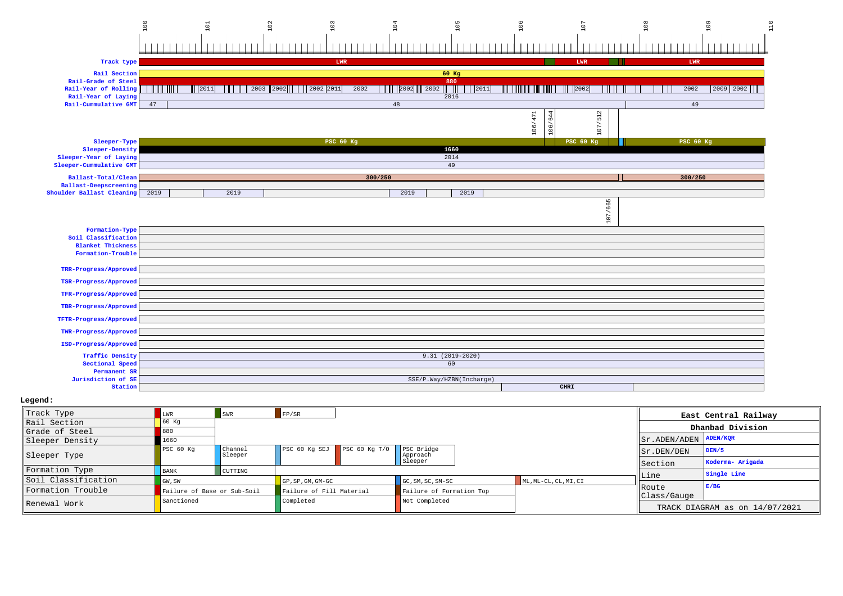

| Track Type          | LWR         | SWR                         | $F$ $P/SR$                             |                          |                       |                                 | East Central Railway           |
|---------------------|-------------|-----------------------------|----------------------------------------|--------------------------|-----------------------|---------------------------------|--------------------------------|
| Rail Section        | 60 Kq       |                             |                                        |                          |                       |                                 | Dhanbad Division               |
| llGrade of Steel    |             |                             |                                        |                          |                       |                                 |                                |
| Sleeper Density     | 1660        |                             |                                        |                          |                       | $ Sr $ . ADEN/ADEN $ $ ADEN/KOR |                                |
| Sleeper Type        | PSC 60 Kg   | <b>Channel</b><br>Sleeper   | PSC 60 Kg SEJ PSC 60 Kg T/O PSC Bridge | Approach                 |                       | $\vert$ Sr. DEN/DEN             | DEN/5                          |
|                     |             |                             |                                        | Sleeper                  |                       | Section                         | Koderma- Arigada               |
| Formation Type      | <b>BANK</b> | CUTTING                     |                                        |                          |                       |                                 | Single Line                    |
| Soil Classification | GW, SW      |                             | $GP$ , $SP$ , $GM$ , $GM$ - $GC$       | GC, SM, SC, SM-SC        | ML, ML-CL, CL, MI, CI | Line                            |                                |
| Formation Trouble   |             | Failure of Base or Sub-Soil | Failure of Fill Material               | Failure of Formation Top |                       | <b>IRoute</b>                   | E/BG                           |
|                     | Sanctioned  |                             | Completed                              | Not Completed            |                       | Class/Gauge                     |                                |
| Renewal Work        |             |                             |                                        |                          |                       |                                 | TRACK DIAGRAM as on 14/07/2021 |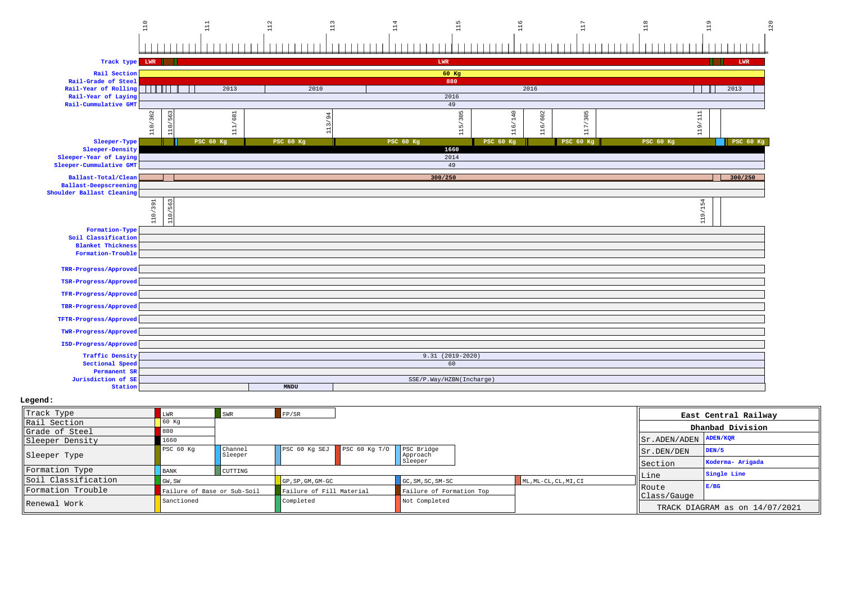

| Track Type          |             | <b>SWR</b>                  | FP/SR                    |                                        |                          |                       |                        | East Central Railway           |
|---------------------|-------------|-----------------------------|--------------------------|----------------------------------------|--------------------------|-----------------------|------------------------|--------------------------------|
| Rail Section        | 60 Kg       |                             |                          |                                        |                          |                       |                        | Dhanbad Division               |
| Grade of Steel      | 880         |                             |                          |                                        |                          |                       |                        |                                |
| Sleeper Density     | 1660        |                             |                          |                                        |                          |                       | Sr. ADEN/ADEN ADEN/KOR |                                |
| Sleeper Type        | PSC 60 Kg   | Channel<br>Sleeper          |                          | PSC 60 Kg SEJ PSC 60 Kg T/O PSC Bridge | Approach                 |                       | Sr.DEN/DEN             | DEN/5                          |
|                     |             |                             |                          |                                        | Sleeper                  |                       | Section                | Koderma- Arigada               |
| Formation Type      | <b>BANK</b> | <b>CUTTING</b>              |                          |                                        |                          |                       |                        | Single Line                    |
| Soil Classification | GW, SW      |                             | GP, SP, GM, GM-GC        |                                        | GC, SM, SC, SM-SC        | ML, ML-CL, CL, MI, CI | Line                   |                                |
| Formation Trouble   |             | Failure of Base or Sub-Soil | Failure of Fill Material |                                        | Failure of Formation Top |                       | Route                  | E/BG                           |
| Renewal Work        | Sanctioned  |                             |                          |                                        | Not Completed            |                       | Class/Gauge            |                                |
|                     |             |                             |                          |                                        |                          |                       |                        | TRACK DIAGRAM as on 14/07/2021 |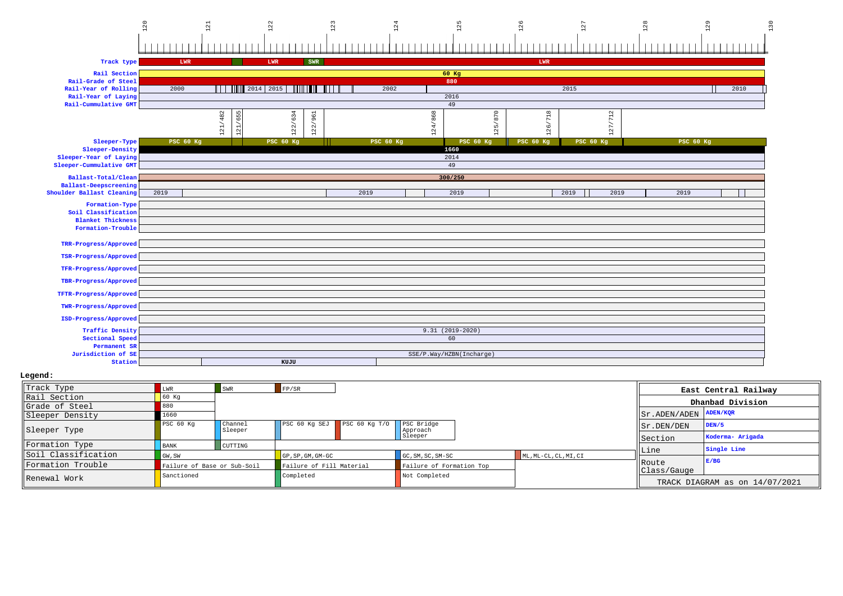#### $\begin{array}{c|c|c|c} \hline \phantom{\Big(}3 & 2 & 1 \\ \hline \phantom{\Big(}1 & 1 & 1 \\ \hline \phantom{\Big(}1 & 1 & 1 \\ \hline \phantom{\Big(}1 & 1 & 1 \\ \hline \phantom{\Big(}1 & 1 & 1 \\ \hline \phantom{\Big(}1 & 1 & 1 \\ \hline \phantom{\Big(}1 & 1 & 1 \\ \hline \phantom{\Big(}1 & 1 & 1 \\ \hline \phantom{\Big(}1 & 1 & 1 \\ \hline \phantom{\Big(}1 & 1 & 1 \\ \hline \phantom{\Big(}1 & 1 & 1 \\ \hline \phantom{\Big($ 129 130 120 121 122 123 124 125 126 127 <u>linin mahanan binin i</u> <u>. I. mara mara mata mana ma</u> linin ning <u>aasasasad</u>

| Track type                                  | LWR              |         | ${\tt LWR}$   | SWR                      |  |                  |  |         |                          |         | LWR              |      |                                                                            |  |                  |      |  |
|---------------------------------------------|------------------|---------|---------------|--------------------------|--|------------------|--|---------|--------------------------|---------|------------------|------|----------------------------------------------------------------------------|--|------------------|------|--|
| Rail Section                                |                  |         |               |                          |  |                  |  |         | $60$ Kg                  |         |                  |      |                                                                            |  |                  |      |  |
| Rail-Grade of Steel                         |                  |         |               |                          |  |                  |  |         | 880                      |         |                  |      |                                                                            |  |                  |      |  |
| Rail-Year of Rolling                        | 2000             | $\Box$  | 2014 2015     | <u> Silinin Ing Kabu</u> |  | 2002             |  |         |                          |         |                  | 2015 |                                                                            |  |                  | 2010 |  |
| Rail-Year of Laying<br>Rail-Cummulative GMT |                  |         |               |                          |  |                  |  |         | 2016<br>49               |         |                  |      |                                                                            |  |                  |      |  |
|                                             |                  |         |               |                          |  |                  |  |         |                          |         |                  |      | $\sim$                                                                     |  |                  |      |  |
|                                             |                  | 121/482 | 655           | 122/634<br>961           |  |                  |  | 124/868 |                          | 125/870 | $718$            |      | $\Xi$                                                                      |  |                  |      |  |
|                                             |                  |         | $\frac{1}{2}$ | 122/                     |  |                  |  |         |                          |         | ↖<br>$26$        |      | $\sqrt{2}$                                                                 |  |                  |      |  |
|                                             |                  |         | -             |                          |  |                  |  |         |                          |         | $\overline{ }$   |      | $\mathbf{\mathbf{\mathbf{\mathbf{\mathbf{\mathbf{\mathbf{\mathbf{H}}}}}}}$ |  |                  |      |  |
| Sleeper-Type<br>Sleeper-Density             | <b>PSC 60 Kg</b> |         |               | PSC 60 Kg                |  | <b>PSC 60 Kg</b> |  |         | <b>PSC 60 Kg</b><br>1660 |         | <b>PSC 60 Kg</b> |      | <b>PSC 60 Kg</b>                                                           |  | <b>PSC 60 Kg</b> |      |  |
| Sleeper-Year of Laying                      |                  |         |               |                          |  |                  |  |         | 2014                     |         |                  |      |                                                                            |  |                  |      |  |
| Sleeper-Cummulative GMT                     | 49               |         |               |                          |  |                  |  |         |                          |         |                  |      |                                                                            |  |                  |      |  |
| Ballast-Total/Clean                         | 300/250          |         |               |                          |  |                  |  |         |                          |         |                  |      |                                                                            |  |                  |      |  |
| <b>Ballast-Deepscreening</b>                |                  |         |               |                          |  |                  |  |         |                          |         |                  |      |                                                                            |  |                  |      |  |
| Shoulder Ballast Cleaning                   | 2019             |         |               |                          |  | 2019             |  |         | 2019                     |         |                  | 2019 | 2019                                                                       |  | 2019             |      |  |
| Formation-Type                              |                  |         |               |                          |  |                  |  |         |                          |         |                  |      |                                                                            |  |                  |      |  |
| Soil Classification                         |                  |         |               |                          |  |                  |  |         |                          |         |                  |      |                                                                            |  |                  |      |  |
| <b>Blanket Thickness</b>                    |                  |         |               |                          |  |                  |  |         |                          |         |                  |      |                                                                            |  |                  |      |  |
| Formation-Trouble                           |                  |         |               |                          |  |                  |  |         |                          |         |                  |      |                                                                            |  |                  |      |  |
| TRR-Progress/Approved                       |                  |         |               |                          |  |                  |  |         |                          |         |                  |      |                                                                            |  |                  |      |  |
|                                             |                  |         |               |                          |  |                  |  |         |                          |         |                  |      |                                                                            |  |                  |      |  |
| TSR-Progress/Approved                       |                  |         |               |                          |  |                  |  |         |                          |         |                  |      |                                                                            |  |                  |      |  |
| TFR-Progress/Approved                       |                  |         |               |                          |  |                  |  |         |                          |         |                  |      |                                                                            |  |                  |      |  |
| TBR-Progress/Approved                       |                  |         |               |                          |  |                  |  |         |                          |         |                  |      |                                                                            |  |                  |      |  |
|                                             |                  |         |               |                          |  |                  |  |         |                          |         |                  |      |                                                                            |  |                  |      |  |
| TFTR-Progress/Approved                      |                  |         |               |                          |  |                  |  |         |                          |         |                  |      |                                                                            |  |                  |      |  |
| TWR-Progress/Approved                       |                  |         |               |                          |  |                  |  |         |                          |         |                  |      |                                                                            |  |                  |      |  |
| ISD-Progress/Approved                       |                  |         |               |                          |  |                  |  |         |                          |         |                  |      |                                                                            |  |                  |      |  |
|                                             |                  |         |               |                          |  |                  |  |         |                          |         |                  |      |                                                                            |  |                  |      |  |
| <b>Traffic Density</b>                      |                  |         |               |                          |  |                  |  |         | $9.31(2019-2020)$        |         |                  |      |                                                                            |  |                  |      |  |
| Sectional Speed<br>Permanent SR             |                  |         |               |                          |  |                  |  |         | 60                       |         |                  |      |                                                                            |  |                  |      |  |
| Jurisdiction of SE                          |                  |         |               |                          |  |                  |  |         | SSE/P.Way/HZBN(Incharge) |         |                  |      |                                                                            |  |                  |      |  |
| Station                                     |                  |         |               | KUJU                     |  |                  |  |         |                          |         |                  |      |                                                                            |  |                  |      |  |
|                                             |                  |         |               |                          |  |                  |  |         |                          |         |                  |      |                                                                            |  |                  |      |  |

| Track Type          | LWR                         | <b>SWR</b>         | FP/SR                           |                   |                          |                       |                                     | East Central Railway           |  |
|---------------------|-----------------------------|--------------------|---------------------------------|-------------------|--------------------------|-----------------------|-------------------------------------|--------------------------------|--|
| Rail Section        | 60 Kg                       |                    |                                 |                   |                          |                       |                                     | Dhanbad Division               |  |
| Grade of Steel      | 880                         |                    |                                 |                   |                          |                       |                                     |                                |  |
| Sleeper Density     | 1660                        |                    |                                 |                   |                          |                       | $ Sr $ . ADEN / ADEN $ $ ADEN / KQR |                                |  |
| Sleeper Type        | PSC 60 Kg                   | Channel<br>Sleeper | PSC 60 Kg SEJ                   | PSC $60$ Kq $T/O$ | PSC Bridge<br>Approach   |                       | $\vert$ Sr. DEN/DEN                 | DEN/5                          |  |
|                     |                             |                    | Sleeper                         |                   |                          |                       | Section                             | Koderma- Arigada               |  |
| Formation Type      | <b>BANK</b>                 | CUTTING            |                                 |                   |                          |                       |                                     | Single Line                    |  |
| Soil Classification | GW, SW                      |                    | $GP$ , $SP$ , $GM$ , $GM$ $-GC$ |                   | $GC, SM, SC, SM-SC$      | ML, ML-CL, CL, MI, CI | Line                                |                                |  |
| Formation Trouble   | Failure of Base or Sub-Soil |                    | Failure of Fill Material        |                   | Failure of Formation Top |                       | <b>IRoute</b>                       | E/BG                           |  |
| Renewal Work        | Sanctioned                  |                    | Completed                       |                   | Not Completed            |                       | Class/Gauge                         | TRACK DIAGRAM as on 14/07/2021 |  |